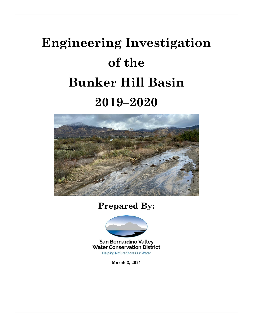# **Engineering Investigation of the Bunker Hill Basin 2019–2020**



**Prepared By:**



**San Bernardino Valley Water Conservation District** Helping Nature Store Our Water

**March 3, 2021**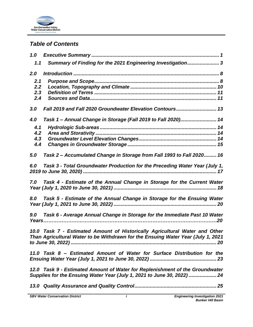

## *Table of Contents*

| 1.0        |                                                                                                                                                                 |
|------------|-----------------------------------------------------------------------------------------------------------------------------------------------------------------|
| 1.1        | Summary of Finding for the 2021 Engineering Investigation 3                                                                                                     |
| 2.0        |                                                                                                                                                                 |
| 2.1        |                                                                                                                                                                 |
| 2.2<br>2.3 |                                                                                                                                                                 |
| 2.4        |                                                                                                                                                                 |
| 3.0        | Fall 2019 and Fall 2020 Groundwater Elevation Contours 13                                                                                                       |
| 4.0        | Task 1 - Annual Change in Storage (Fall 2019 to Fall 2020) 14                                                                                                   |
| 4.1        |                                                                                                                                                                 |
| 4.2        |                                                                                                                                                                 |
| 4.3<br>4.4 |                                                                                                                                                                 |
|            |                                                                                                                                                                 |
| 5.0        | Task 2 - Accumulated Change in Storage from Fall 1993 to Fall 2020 16                                                                                           |
| 6.0        | Task 3 - Total Groundwater Production for the Preceding Water Year (July 1,                                                                                     |
| 7.0        | Task 4 - Estimate of the Annual Change in Storage for the Current Water                                                                                         |
| 8.0        | Task 5 - Estimate of the Annual Change in Storage for the Ensuing Water                                                                                         |
|            |                                                                                                                                                                 |
| 9.0        | Task 6 - Average Annual Change in Storage for the Immediate Past 10 Water                                                                                       |
|            |                                                                                                                                                                 |
|            | 10.0 Task 7 - Estimated Amount of Historically Agricultural Water and Other<br>Than Agricultural Water to be Withdrawn for the Ensuing Water Year (July 1, 2021 |
|            |                                                                                                                                                                 |
|            | 11.0 Task 8 - Estimated Amount of Water for Surface Distribution for the                                                                                        |
|            | 12.0 Task 9 - Estimated Amount of Water for Replenishment of the Groundwater<br>Supplies for the Ensuing Water Year (July 1, 2021 to June 30, 2022)  24         |
|            |                                                                                                                                                                 |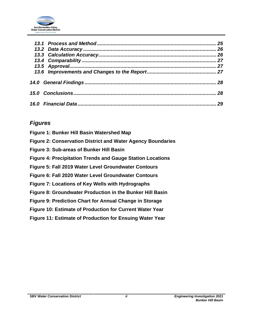

|  | 25       |
|--|----------|
|  | 26<br>26 |
|  |          |
|  |          |
|  |          |
|  |          |
|  | 28       |
|  | 29       |

## *Figures*

| Figure 1: Bunker Hill Basin Watershed Map                          |
|--------------------------------------------------------------------|
| <b>Figure 2: Conservation District and Water Agency Boundaries</b> |
| <b>Figure 3: Sub-areas of Bunker Hill Basin</b>                    |
| <b>Figure 4: Precipitation Trends and Gauge Station Locations</b>  |
| Figure 5: Fall 2019 Water Level Groundwater Contours               |
| Figure 6: Fall 2020 Water Level Groundwater Contours               |
| Figure 7: Locations of Key Wells with Hydrographs                  |
| Figure 8: Groundwater Production in the Bunker Hill Basin          |
| Figure 9: Prediction Chart for Annual Change in Storage            |
| Figure 10: Estimate of Production for Current Water Year           |
| <b>Figure 11: Estimate of Production for Ensuing Water Year</b>    |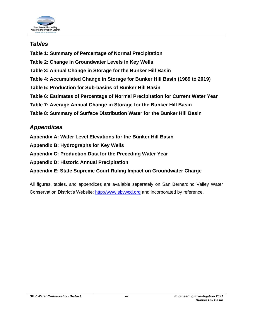

## *Tables*

- **Table 1: Summary of Percentage of Normal Precipitation**
- **Table 2: Change in Groundwater Levels in Key Wells**
- **Table 3: Annual Change in Storage for the Bunker Hill Basin**
- **Table 4: Accumulated Change in Storage for Bunker Hill Basin (1989 to 2019)**
- **Table 5: Production for Sub-basins of Bunker Hill Basin**
- **Table 6: Estimates of Percentage of Normal Precipitation for Current Water Year**
- **Table 7: Average Annual Change in Storage for the Bunker Hill Basin**
- **Table 8: Summary of Surface Distribution Water for the Bunker Hill Basin**

## *Appendices*

- **Appendix A: Water Level Elevations for the Bunker Hill Basin**
- **Appendix B: Hydrographs for Key Wells**
- **Appendix C: Production Data for the Preceding Water Year**
- **Appendix D: Historic Annual Precipitation**
- **Appendix E: State Supreme Court Ruling Impact on Groundwater Charge**

All figures, tables, and appendices are available separately on San Bernardino Valley Water Conservation District's Website: [http://www.sbvwcd.org](http://www.sbvwcd.org/) and incorporated by reference.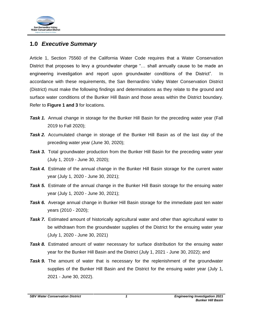

## <span id="page-4-0"></span>**1.0** *Executive Summary*

Article 1, Section 75560 of the California Water Code requires that a Water Conservation District that proposes to levy a groundwater charge "… shall annually cause to be made an engineering investigation and report upon groundwater conditions of the District". In accordance with these requirements, the San Bernardino Valley Water Conservation District (District) must make the following findings and determinations as they relate to the ground and surface water conditions of the Bunker Hill Basin and those areas within the District boundary. Refer to **Figure 1 and 3** for locations.

- **Task 1.** Annual change in storage for the Bunker Hill Basin for the preceding water year (Fall 2019 to Fall 2020);
- *Task 2.* Accumulated change in storage of the Bunker Hill Basin as of the last day of the preceding water year (June 30, 2020);
- **Task 3.** Total groundwater production from the Bunker Hill Basin for the preceding water year (July 1, 2019 - June 30, 2020);
- **Task 4.** Estimate of the annual change in the Bunker Hill Basin storage for the current water year (July 1, 2020 - June 30, 2021);
- **Task 5.** Estimate of the annual change in the Bunker Hill Basin storage for the ensuing water year (July 1, 2020 - June 30, 2021);
- **Task 6.** Average annual change in Bunker Hill Basin storage for the immediate past ten water years (2010 - 2020);
- **Task 7.** Estimated amount of historically agricultural water and other than agricultural water to be withdrawn from the groundwater supplies of the District for the ensuing water year (July 1, 2020 - June 30, 2021)
- *Task 8.* Estimated amount of water necessary for surface distribution for the ensuing water year for the Bunker Hill Basin and the District (July 1, 2021 - June 30, 2022); and
- **Task 9.** The amount of water that is necessary for the replenishment of the groundwater supplies of the Bunker Hill Basin and the District for the ensuing water year (July 1, 2021 - June 30, 2022).

*SBV Water Conservation District 1 Engineering Investigation 2021*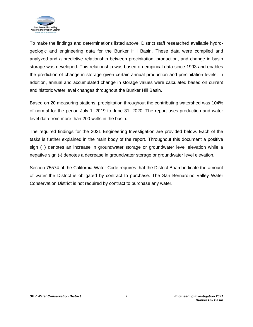

To make the findings and determinations listed above, District staff researched available hydrogeologic and engineering data for the Bunker Hill Basin. These data were compiled and analyzed and a predictive relationship between precipitation, production, and change in basin storage was developed. This relationship was based on empirical data since 1993 and enables the prediction of change in storage given certain annual production and precipitation levels. In addition, annual and accumulated change in storage values were calculated based on current and historic water level changes throughout the Bunker Hill Basin.

Based on 20 measuring stations, precipitation throughout the contributing watershed was 104% of normal for the period July 1, 2019 to June 31, 2020. The report uses production and water level data from more than 200 wells in the basin.

The required findings for the 2021 Engineering Investigation are provided below. Each of the tasks is further explained in the main body of the report. Throughout this document a positive sign (+) denotes an increase in groundwater storage or groundwater level elevation while a negative sign (-) denotes a decrease in groundwater storage or groundwater level elevation.

Section 75574 of the California Water Code requires that the District Board indicate the amount of water the District is obligated by contract to purchase. The San Bernardino Valley Water Conservation District is not required by contract to purchase any water.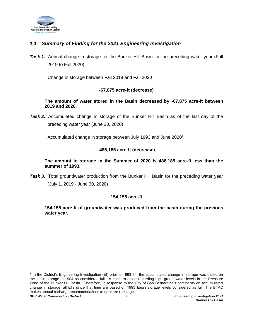

## <span id="page-6-0"></span>*1.1 Summary of Finding for the 2021 Engineering Investigation*

**Task 1.** Annual change in storage for the Bunker Hill Basin for the preceding water year (Fall 2019 to Fall 2020)

Change in storage between Fall 2019 and Fall 2020

### **-67,875 acre-ft (decrease)**

**The amount of water stored in the Basin decreased by -67,875 acre-ft between 2019 and 2020.**

*Task 2.* Accumulated change in storage of the Bunker Hill Basin as of the last day of the preceding water year (June 30, 2020)

Accumulated change in storage between July 1993 and June 2020<sup>1</sup>.

#### **-486,185 acre-ft (decrease)**

**The amount in storage in the Summer of 2020 is 486,185 acre-ft less than the summer of 1993.**

**Task 3.** Total groundwater production from the Bunker Hill Basin for the preceding water year (July 1, 2019 - June 30, 2020)

#### **154,155 acre-ft**

**154,155 acre-ft of groundwater was produced from the basin during the previous water year.**

<sup>&</sup>lt;sup>1</sup> In the District's Engineering Investigation (EI) prior to 1993-94, the accumulated change in storage was based on the basin storage in 1984 as considered full. A concern arose regarding high groundwater levels in the Pressure Zone of the Bunker Hill Basin. Therefore, in response to the City of San Bernardino's comments on accumulated change in storage, all EI's since that time are based on 1993 basin storage levels considered as full. The BTAC makes annual recharge recommendations to optimize recharge.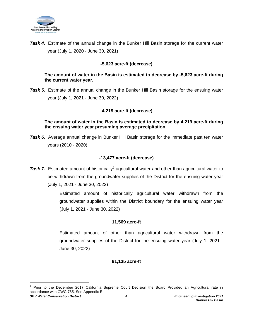

**Task 4.** Estimate of the annual change in the Bunker Hill Basin storage for the current water year (July 1, 2020 - June 30, 2021)

## **-5,623 acre-ft (decrease)**

#### **The amount of water in the Basin is estimated to decrease by -5,623 acre-ft during the current water year.**

**Task 5.** Estimate of the annual change in the Bunker Hill Basin storage for the ensuing water year (July 1, 2021 - June 30, 2022)

### **-4,219 acre-ft (decrease)**

#### **The amount of water in the Basin is estimated to decrease by 4,219 acre-ft during the ensuing water year presuming average precipitation.**

*Task 6.* Average annual change in Bunker Hill Basin storage for the immediate past ten water years (2010 - 2020)

### **-13,477 acre-ft (decrease)**

**Task 7.** Estimated amount of historically<sup>2</sup> agricultural water and other than agricultural water to be withdrawn from the groundwater supplies of the District for the ensuing water year (July 1, 2021 - June 30, 2022)

> Estimated amount of historically agricultural water withdrawn from the groundwater supplies within the District boundary for the ensuing water year (July 1, 2021 - June 30, 2022)

#### **11,569 acre-ft**

Estimated amount of other than agricultural water withdrawn from the groundwater supplies of the District for the ensuing water year (July 1, 2021 - June 30, 2022)

#### **91,135 acre-ft**

<sup>&</sup>lt;sup>2</sup> Prior to the December 2017 California Supreme Court Decision the Board Provided an Agricultural rate in accordance with CWC 755. See Appendix E.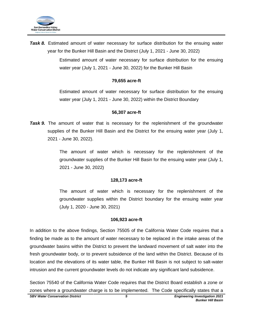

*Task 8.* Estimated amount of water necessary for surface distribution for the ensuing water year for the Bunker Hill Basin and the District (July 1, 2021 - June 30, 2022)

> Estimated amount of water necessary for surface distribution for the ensuing water year (July 1, 2021 - June 30, 2022) for the Bunker Hill Basin

#### **79,655 acre-ft**

Estimated amount of water necessary for surface distribution for the ensuing water year (July 1, 2021 - June 30, 2022) within the District Boundary

#### **56,307 acre-ft**

**Task 9.** The amount of water that is necessary for the replenishment of the groundwater supplies of the Bunker Hill Basin and the District for the ensuing water year (July 1, 2021 - June 30, 2022).

> The amount of water which is necessary for the replenishment of the groundwater supplies of the Bunker Hill Basin for the ensuing water year (July 1, 2021 - June 30, 2022)

#### **128,173 acre-ft**

The amount of water which is necessary for the replenishment of the groundwater supplies within the District boundary for the ensuing water year (July 1, 2020 - June 30, 2021)

#### **106,923 acre-ft**

In addition to the above findings, Section 75505 of the California Water Code requires that a finding be made as to the amount of water necessary to be replaced in the intake areas of the groundwater basins within the District to prevent the landward movement of salt water into the fresh groundwater body, or to prevent subsidence of the land within the District. Because of its location and the elevations of its water table, the Bunker Hill Basin is not subject to salt-water intrusion and the current groundwater levels do not indicate any significant land subsidence.

Section 75540 of the California Water Code requires that the District Board establish a zone or zones where a groundwater charge is to be implemented. The Code specifically states that a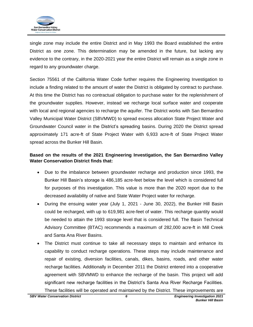

single zone may include the entire District and in May 1993 the Board established the entire District as one zone. This determination may be amended in the future, but lacking any evidence to the contrary, in the 2020-2021 year the entire District will remain as a single zone in regard to any groundwater charge.

Section 75561 of the California Water Code further requires the Engineering Investigation to include a finding related to the amount of water the District is obligated by contract to purchase. At this time the District has no contractual obligation to purchase water for the replenishment of the groundwater supplies. However, instead we recharge local surface water and cooperate with local and regional agencies to recharge the aquifer. The District works with San Bernardino Valley Municipal Water District (SBVMWD) to spread excess allocation State Project Water and Groundwater Council water in the District's spreading basins. During 2020 the District spread approximately 171 acre-ft of State Project Water with 6,933 acre-ft of State Project Water spread across the Bunker Hill Basin.

## **Based on the results of the 2021 Engineering Investigation, the San Bernardino Valley Water Conservation District finds that:**

- Due to the imbalance between groundwater recharge and production since 1993, the Bunker Hill Basin's storage is 486,185 acre-feet below the level which is considered full for purposes of this investigation. This value is more than the 2020 report due to the decreased availability of native and State Water Project water for recharge.
- During the ensuing water year (July 1, 2021 June 30, 2022), the Bunker Hill Basin could be recharged, with up to 619,981 acre-feet of water. This recharge quantity would be needed to attain the 1993 storage level that is considered full. The Basin Technical Advisory Committee (BTAC) recommends a maximum of 282,000 acre-ft in Mill Creek and Santa Ana River Basins.
- The District must continue to take all necessary steps to maintain and enhance its capability to conduct recharge operations. These steps may include maintenance and repair of existing, diversion facilities, canals, dikes, basins, roads, and other water recharge facilities. Additionally in December 2011 the District entered into a cooperative agreement with SBVMWD to enhance the recharge of the basin. This project will add significant new recharge facilities in the District's Santa Ana River Recharge Facilities. These facilities will be operated and maintained by the District. These improvements are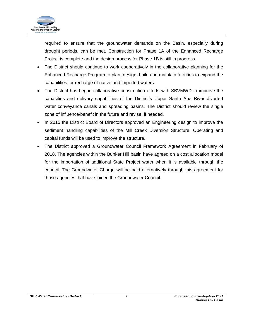

required to ensure that the groundwater demands on the Basin, especially during drought periods, can be met. Construction for Phase 1A of the Enhanced Recharge Project is complete and the design process for Phase 1B is still in progress.

- The District should continue to work cooperatively in the collaborative planning for the Enhanced Recharge Program to plan, design, build and maintain facilities to expand the capabilities for recharge of native and imported waters.
- The District has begun collaborative construction efforts with SBVMWD to improve the capacities and delivery capabilities of the District's Upper Santa Ana River diverted water conveyance canals and spreading basins. The District should review the single zone of influence/benefit in the future and revise, if needed.
- In 2015 the District Board of Directors approved an Engineering design to improve the sediment handling capabilities of the Mill Creek Diversion Structure. Operating and capital funds will be used to improve the structure.
- The District approved a Groundwater Council Framework Agreement in February of 2018. The agencies within the Bunker Hill basin have agreed on a cost allocation model for the importation of additional State Project water when it is available through the council. The Groundwater Charge will be paid alternatively through this agreement for those agencies that have joined the Groundwater Council.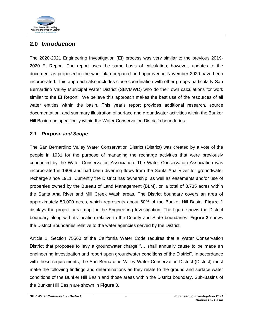

## <span id="page-11-0"></span>**2.0** *Introduction*

The 2020-2021 Engineering Investigation (EI) process was very similar to the previous 2019- 2020 EI Report. The report uses the same basis of calculation; however, updates to the document as proposed in the work plan prepared and approved in November 2020 have been incorporated. This approach also includes close coordination with other groups particularly San Bernardino Valley Municipal Water District (SBVMWD) who do their own calculations for work similar to the EI Report. We believe this approach makes the best use of the resources of all water entities within the basin. This year's report provides additional research, source documentation, and summary illustration of surface and groundwater activities within the Bunker Hill Basin and specifically within the Water Conservation District's boundaries.

## <span id="page-11-1"></span>*2.1 Purpose and Scope*

The San Bernardino Valley Water Conservation District (District) was created by a vote of the people in 1931 for the purpose of managing the recharge activities that were previously conducted by the Water Conservation Association. The Water Conservation Association was incorporated in 1909 and had been diverting flows from the Santa Ana River for groundwater recharge since 1911. Currently the District has ownership, as well as easements and/or use of properties owned by the Bureau of Land Management (BLM), on a total of 3,735 acres within the Santa Ana River and Mill Creek Wash areas. The District boundary covers an area of approximately 50,000 acres, which represents about 60% of the Bunker Hill Basin. **Figure 1** displays the project area map for the Engineering Investigation. The figure shows the District boundary along with its location relative to the County and State boundaries. **Figure 2** shows the District Boundaries relative to the water agencies served by the District.

Article 1, Section 75560 of the California Water Code requires that a Water Conservation District that proposes to levy a groundwater charge "… shall annually cause to be made an engineering investigation and report upon groundwater conditions of the District". In accordance with these requirements, the San Bernardino Valley Water Conservation District (District) must make the following findings and determinations as they relate to the ground and surface water conditions of the Bunker Hill Basin and those areas within the District boundary. Sub-Basins of the Bunker Hill Basin are shown in **Figure 3**.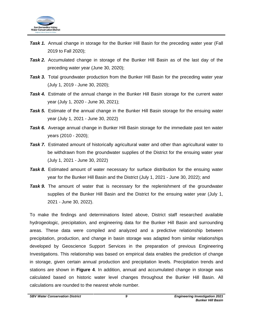

- **Task 1.** Annual change in storage for the Bunker Hill Basin for the preceding water year (Fall 2019 to Fall 2020);
- *Task 2.* Accumulated change in storage of the Bunker Hill Basin as of the last day of the preceding water year (June 30, 2020);
- **Task 3.** Total groundwater production from the Bunker Hill Basin for the preceding water year (July 1, 2019 - June 30, 2020);
- **Task 4.** Estimate of the annual change in the Bunker Hill Basin storage for the current water year (July 1, 2020 - June 30, 2021);
- **Task 5.** Estimate of the annual change in the Bunker Hill Basin storage for the ensuing water year (July 1, 2021 - June 30, 2022)
- **Task 6.** Average annual change in Bunker Hill Basin storage for the immediate past ten water years (2010 - 2020);
- *Task 7.* Estimated amount of historically agricultural water and other than agricultural water to be withdrawn from the groundwater supplies of the District for the ensuing water year (July 1, 2021 - June 30, 2022)
- **Task 8.** Estimated amount of water necessary for surface distribution for the ensuing water year for the Bunker Hill Basin and the District (July 1, 2021 - June 30, 2022); and
- **Task 9.** The amount of water that is necessary for the replenishment of the groundwater supplies of the Bunker Hill Basin and the District for the ensuing water year (July 1, 2021 - June 30, 2022).

To make the findings and determinations listed above, District staff researched available hydrogeologic, precipitation, and engineering data for the Bunker Hill Basin and surrounding areas. These data were compiled and analyzed and a predictive relationship between precipitation, production, and change in basin storage was adapted from similar relationships developed by Geoscience Support Services in the preparation of previous Engineering Investigations. This relationship was based on empirical data enables the prediction of change in storage, given certain annual production and precipitation levels. Precipitation trends and stations are shown in **Figure 4**. In addition, annual and accumulated change in storage was calculated based on historic water level changes throughout the Bunker Hill Basin. All calculations are rounded to the nearest whole number.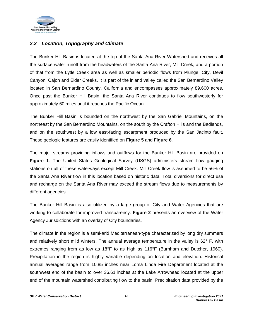

## <span id="page-13-0"></span>*2.2 Location, Topography and Climate*

The Bunker Hill Basin is located at the top of the Santa Ana River Watershed and receives all the surface water runoff from the headwaters of the Santa Ana River, Mill Creek, and a portion of that from the Lytle Creek area as well as smaller periodic flows from Plunge, City, Devil Canyon, Cajon and Elder Creeks. It is part of the inland valley called the San Bernardino Valley located in San Bernardino County, California and encompasses approximately 89,600 acres. Once past the Bunker Hill Basin, the Santa Ana River continues to flow southwesterly for approximately 60 miles until it reaches the Pacific Ocean.

The Bunker Hill Basin is bounded on the northwest by the San Gabriel Mountains, on the northeast by the San Bernardino Mountains, on the south by the Crafton Hills and the Badlands, and on the southwest by a low east-facing escarpment produced by the San Jacinto fault. These geologic features are easily identified on **Figure 5** and **Figure 6**.

The major streams providing inflows and outflows for the Bunker Hill Basin are provided on **Figure 1**. The United States Geological Survey (USGS) administers stream flow gauging stations on all of these waterways except Mill Creek. Mill Creek flow is assumed to be 56% of the Santa Ana River flow in this location based on historic data. Total diversions for direct use and recharge on the Santa Ana River may exceed the stream flows due to measurements by different agencies.

The Bunker Hill Basin is also utilized by a large group of City and Water Agencies that are working to collaborate for improved transparency. **Figure 2** presents an overview of the Water Agency Jurisdictions with an overlay of City boundaries.

The climate in the region is a semi-arid Mediterranean-type characterized by long dry summers and relatively short mild winters. The annual average temperature in the valley is  $62^{\circ}$  F, with extremes ranging from as low as 18°F to as high as 116°F (Burnham and Dutcher, 1960). Precipitation in the region is highly variable depending on location and elevation. Historical annual averages range from 10.85 inches near Loma Linda Fire Department located at the southwest end of the basin to over 36.61 inches at the Lake Arrowhead located at the upper end of the mountain watershed contributing flow to the basin. Precipitation data provided by the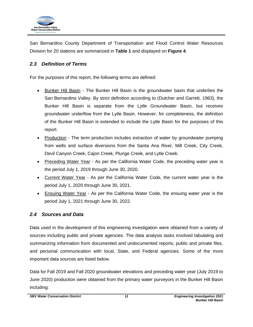

San Bernardino County Department of Transportation and Flood Control Water Resources Division for 20 stations are summarized in **Table 1** and displayed on **Figure 4**.

## <span id="page-14-0"></span>*2.3 Definition of Terms*

For the purposes of this report, the following terms are defined:

- **Bunker Hill Basin The Bunker Hill Basin is the groundwater basin that underlies the** San Bernardino Valley. By strict definition according to (Dutcher and Garrett, 1963), the Bunker Hill Basin is separate from the Lytle Groundwater Basin, but receives groundwater underflow from the Lytle Basin. However, for completeness, the definition of the Bunker Hill Basin is extended to include the Lytle Basin for the purposes of this report.
- Production The term production includes extraction of water by groundwater pumping from wells and surface diversions from the Santa Ana River, Mill Creek, City Creek, Devil Canyon Creek, Cajon Creek, Plunge Creek, and Lytle Creek.
- Preceding Water Year As per the California Water Code, the preceding water year is the period July 1, 2019 through June 30, 2020.
- Current Water Year As per the California Water Code, the current water year is the period July 1, 2020 through June 30, 2021.
- Ensuing Water Year As per the California Water Code, the ensuing water year is the period July 1, 2021 through June 30, 2022.

## <span id="page-14-1"></span>*2.4 Sources and Data*

Data used in the development of this engineering investigation were obtained from a variety of sources including public and private agencies. The data analysis tasks involved tabulating and summarizing information from documented and undocumented reports, public and private files, and personal communication with local, State, and Federal agencies. Some of the more important data sources are listed below.

Data for Fall 2019 and Fall 2020 groundwater elevations and preceding water year (July 2019 to June 2020) production were obtained from the primary water purveyors in the Bunker Hill Basin including: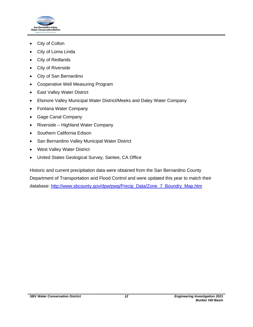

- City of Colton
- City of Loma Linda
- City of Redlands
- City of Riverside
- City of San Bernardino
- Cooperative Well Measuring Program
- East Valley Water District
- Elsinore Valley Municipal Water District/Meeks and Daley Water Company
- Fontana Water Company
- Gage Canal Company
- Riverside Highland Water Company
- Southern California Edison
- San Bernardino Valley Municipal Water District
- West Valley Water District
- United States Geological Survey, Santee, CA Office

Historic and current precipitation data were obtained from the San Bernardino County Department of Transportation and Flood Control and were updated this year to match their database: [http://www.sbcounty.gov/dpw/pwg/Precip\\_Data/Zone\\_7\\_Boundry\\_Map.htm](http://www.sbcounty.gov/dpw/pwg/Precip_Data/Zone_7_Boundry_Map.htm)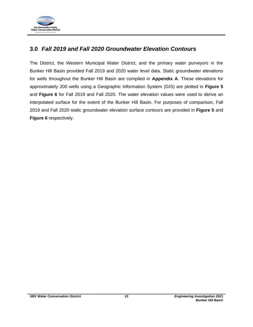

## <span id="page-16-0"></span>**3.0** *Fall 2019 and Fall 2020 Groundwater Elevation Contours*

The District, the Western Municipal Water District, and the primary water purveyors in the Bunker Hill Basin provided Fall 2019 and 2020 water level data. Static groundwater elevations for wells throughout the Bunker Hill Basin are compiled in **Appendix A**. These elevations for approximately 200 wells using a Geographic Information System (GIS) are plotted in **Figure 5** and **Figure 6** for Fall 2019 and Fall 2020. The water elevation values were used to derive an interpolated surface for the extent of the Bunker Hill Basin. For purposes of comparison, Fall 2019 and Fall 2020 static groundwater elevation surface contours are provided in **Figure 5** and **Figure 6** respectively.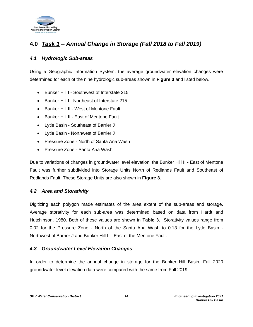

## <span id="page-17-0"></span>**4.0** *Task 1 – Annual Change in Storage (Fall 2018 to Fall 2019)*

## <span id="page-17-1"></span>*4.1 Hydrologic Sub-areas*

Using a Geographic Information System, the average groundwater elevation changes were determined for each of the nine hydrologic sub-areas shown in **Figure 3** and listed below.

- Bunker Hill I Southwest of Interstate 215
- Bunker Hill I Northeast of Interstate 215
- Bunker Hill II West of Mentone Fault
- Bunker Hill II East of Mentone Fault
- Lytle Basin Southeast of Barrier J
- Lytle Basin Northwest of Barrier J
- Pressure Zone North of Santa Ana Wash
- Pressure Zone Santa Ana Wash

Due to variations of changes in groundwater level elevation, the Bunker Hill II - East of Mentone Fault was further subdivided into Storage Units North of Redlands Fault and Southeast of Redlands Fault. These Storage Units are also shown in **Figure 3**.

## <span id="page-17-2"></span>*4.2 Area and Storativity*

Digitizing each polygon made estimates of the area extent of the sub-areas and storage. Average storativity for each sub-area was determined based on data from Hardt and Hutchinson, 1980. Both of these values are shown in **Table 3**. Storativity values range from 0.02 for the Pressure Zone - North of the Santa Ana Wash to 0.13 for the Lytle Basin - Northwest of Barrier J and Bunker Hill II - East of the Mentone Fault.

## <span id="page-17-3"></span>*4.3 Groundwater Level Elevation Changes*

In order to determine the annual change in storage for the Bunker Hill Basin, Fall 2020 groundwater level elevation data were compared with the same from Fall 2019.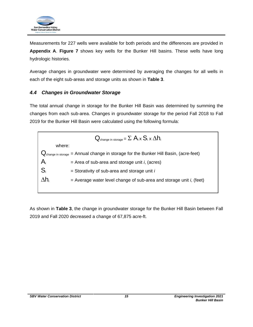

Measurements for 227 wells were available for both periods and the differences are provided in **Appendix A**. **Figure 7** shows key wells for the Bunker Hill basins. These wells have long hydrologic histories.

Average changes in groundwater were determined by averaging the changes for all wells in each of the eight sub-areas and storage units as shown in **Table 3**.

## <span id="page-18-0"></span>*4.4 Changes in Groundwater Storage*

The total annual change in storage for the Bunker Hill Basin was determined by summing the changes from each sub-area. Changes in groundwater storage for the period Fall 2018 to Fall 2019 for the Bunker Hill Basin were calculated using the following formula:



As shown in **Table 3**, the change in groundwater storage for the Bunker Hill Basin between Fall 2019 and Fall 2020 decreased a change of 67,875 acre-ft.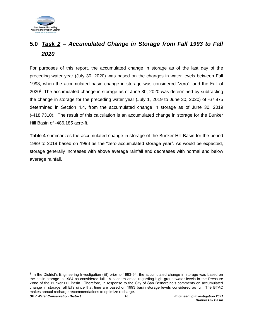

## <span id="page-19-0"></span>**5.0** *Task 2 – Accumulated Change in Storage from Fall 1993 to Fall 2020*

For purposes of this report, the accumulated change in storage as of the last day of the preceding water year (July 30, 2020) was based on the changes in water levels between Fall 1993, when the accumulated basin change in storage was considered "zero", and the Fall of 2020 $3$ . The accumulated change in storage as of June 30, 2020 was determined by subtracting the change in storage for the preceding water year (July 1, 2019 to June 30, 2020) of -67,875 determined in Section 4.4, from the accumulated change in storage as of June 30, 2019 (-418,7310). The result of this calculation is an accumulated change in storage for the Bunker Hill Basin of -486,185 acre-ft.

**Table 4** summarizes the accumulated change in storage of the Bunker Hill Basin for the period 1989 to 2019 based on 1993 as the "zero accumulated storage year". As would be expected, storage generally increases with above average rainfall and decreases with normal and below average rainfall.

<sup>&</sup>lt;sup>3</sup> In the District's Engineering Investigation (EI) prior to 1993-94, the accumulated change in storage was based on the basin storage in 1984 as considered full. A concern arose regarding high groundwater levels in the Pressure Zone of the Bunker Hill Basin. Therefore, in response to the City of San Bernardino's comments on accumulated change in storage, all EI's since that time are based on 1993 basin storage levels considered as full. The BTAC makes annual recharge recommendations to optimize recharge.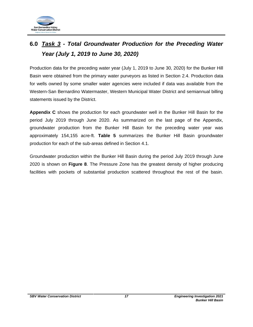

# <span id="page-20-0"></span>**6.0** *Task 3 - Total Groundwater Production for the Preceding Water Year (July 1, 2019 to June 30, 2020)*

Production data for the preceding water year (July 1, 2019 to June 30, 2020) for the Bunker Hill Basin were obtained from the primary water purveyors as listed in Section 2.4. Production data for wells owned by some smaller water agencies were included if data was available from the Western-San Bernardino Watermaster, Western Municipal Water District and semiannual billing statements issued by the District.

**Appendix C** shows the production for each groundwater well in the Bunker Hill Basin for the period July 2019 through June 2020. As summarized on the last page of the Appendix, groundwater production from the Bunker Hill Basin for the preceding water year was approximately 154,155 acre-ft. **Table 5** summarizes the Bunker Hill Basin groundwater production for each of the sub-areas defined in Section 4.1.

Groundwater production within the Bunker Hill Basin during the period July 2019 through June 2020 is shown on **Figure 8**. The Pressure Zone has the greatest density of higher producing facilities with pockets of substantial production scattered throughout the rest of the basin.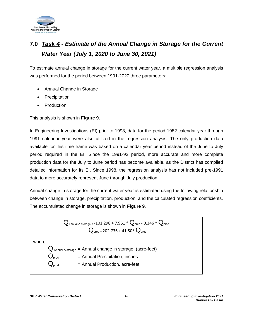

# <span id="page-21-0"></span>**7.0** *Task 4 - Estimate of the Annual Change in Storage for the Current Water Year (July 1, 2020 to June 30, 2021)*

To estimate annual change in storage for the current water year, a multiple regression analysis was performed for the period between 1991-2020 three parameters:

- Annual Change in Storage
- **Precipitation**
- **Production**

This analysis is shown in **Figure 9**.

In Engineering Investigations (EI) prior to 1998, data for the period 1982 calendar year through 1991 calendar year were also utilized in the regression analysis. The only production data available for this time frame was based on a calendar year period instead of the June to July period required in the EI. Since the 1991-92 period, more accurate and more complete production data for the July to June period has become available, as the District has compiled detailed information for its EI. Since 1998, the regression analysis has not included pre-1991 data to more accurately represent June through July production.

Annual change in storage for the current water year is estimated using the following relationship between change in storage, precipitation, production, and the calculated regression coefficients. The accumulated change in storage is shown in **Figure 9**.



*SBV Water Conservation District 18 Engineering Investigation 2021*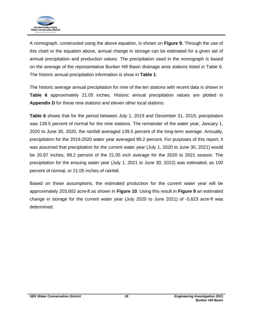

A nomograph, constructed using the above equation, is shown on **Figure 9.** Through the use of this chart or the equation above, annual change in storage can be estimated for a given set of annual precipitation and production values. The precipitation used in the nomograph is based on the average of the representative Bunker Hill Basin drainage area stations listed in Table 6. The historic annual precipitation information is show in **Table 1**.

The historic average annual precipitation for nine of the ten stations with recent data is shown in **Table 6** approximately 21.05 inches. Historic annual precipitation values are plotted in **Appendix D** for these nine stations and eleven other local stations.

**Table 6** shows that for the period between July 1, 2019 and December 31, 2019, precipitation was 139.5 percent of normal for the nine stations. The remainder of the water year, January 1, 2020 to June 30, 2020, the rainfall averaged 139.5 percent of the long-term average. Annually, precipitation for the 2019-2020 water year averaged 99.2 percent. For purposes of this report, it was assumed that precipitation for the current water year (July 1, 2020 to June 30, 2021) would be 20.87 inches, 99.2 percent of the 21.05 inch average for the 2020 to 2021 season. The precipitation for the ensuing water year (July 1, 2021 to June 30, 2022) was estimated, as 100 percent of normal, or 21.05 inches of rainfall.

Based on these assumptions, the estimated production for the current water year will be approximately 203,602 acre-ft as shown in **Figure 10**. Using this result in **Figure 9** an estimated change in storage for the current water year (July 2020 to June 2021) of -5,623 acre-ft was determined.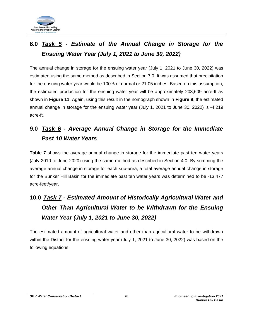

# <span id="page-23-0"></span>**8.0** *Task 5 - Estimate of the Annual Change in Storage for the Ensuing Water Year (July 1, 2021 to June 30, 2022)*

The annual change in storage for the ensuing water year (July 1, 2021 to June 30, 2022) was estimated using the same method as described in Section 7.0. It was assumed that precipitation for the ensuing water year would be 100% of normal or 21.05 inches. Based on this assumption, the estimated production for the ensuing water year will be approximately 203,609 acre-ft as shown in **Figure 11**. Again, using this result in the nomograph shown in **Figure 9**, the estimated annual change in storage for the ensuing water year (July 1, 2021 to June 30, 2022) is -4,219 acre-ft.

# <span id="page-23-1"></span>**9.0** *Task 6 - Average Annual Change in Storage for the Immediate Past 10 Water Years*

**Table 7** shows the average annual change in storage for the immediate past ten water years (July 2010 to June 2020) using the same method as described in Section 4.0. By summing the average annual change in storage for each sub-area, a total average annual change in storage for the Bunker Hill Basin for the immediate past ten water years was determined to be -13,477 acre-feet/year.

# <span id="page-23-2"></span>**10.0** *Task 7 - Estimated Amount of Historically Agricultural Water and Other Than Agricultural Water to be Withdrawn for the Ensuing Water Year (July 1, 2021 to June 30, 2022)*

The estimated amount of agricultural water and other than agricultural water to be withdrawn within the District for the ensuing water year (July 1, 2021 to June 30, 2022) was based on the following equations: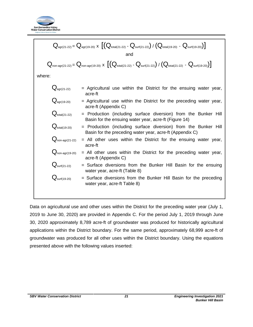

$$
Q_{agr(21-22)} = Q_{agr(19-20)} \times \left[ \left( Q_{total(21-22)} - Q_{surf(21-22)} \right) / \left( Q_{total(19-20)} - Q_{surf(19-20)} \right) \right]
$$
\nand\n
$$
Q_{non-agr(21-22)} = Q_{non-agr(19-20)} \times \left[ \left( Q_{total(21-22)} - Q_{surf(21-22)} \right) / \left( Q_{total(21-22)} - Q_{surf(19-20)} \right) \right]
$$
\nwhere:\n
$$
Q_{agr(21-22)} = \text{Agricultural use within the District for the ensuing water year, \n acc-ft\n
$$
Q_{agr(19-20)} = \text{Agricultural use within the District for the preceding water year, \n acc-ft (Appendix C)\n
$$
Q_{total(21-22)} = \text{Production (including surface diversion) from the Bunker Hill \n Basin for the ensuing water year, acc-ft (Figure 14)\n
$$
Q_{total(19-20)} = \text{Production (including surface diversion) from the Bunker Hill \n Basin for the preceding water year, acc-ft (Appendix C)\n
$$
Q_{non-agr(21-22)} = \text{All other uses within the District for the ensuing water year, \n acc-ft (Appendix C)\n
$$
Q_{sum(21-22)} = \text{Surface diversions from the Bunker Hill \n Basin for the ensuing water year, acc-ft (Table 8)\n
$$
Q_{surf(19-20)} = \text{Surface diversions from the Bunker Hill \n Basin for the preceding water year, acc-ft (Table 8)\n
$$
Q_{surf(19-20)} = \text{Surface diversions from the Bunker Hill \n Basin for the preceding water year, acc-ft \n Table 8)
$$
$$
$$
$$
$$
$$
$$
$$

Data on agricultural use and other uses within the District for the preceding water year (July 1, 2019 to June 30, 2020) are provided in Appendix C. For the period July 1, 2019 through June 30, 2020 approximately 8,789 acre-ft of groundwater was produced for historically agricultural applications within the District boundary. For the same period, approximately 68,999 acre-ft of groundwater was produced for all other uses within the District boundary. Using the equations presented above with the following values inserted: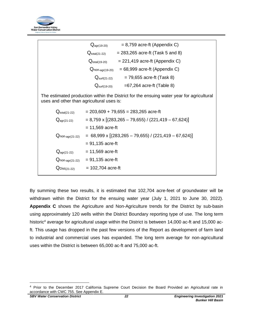

|                                                                                                                                       | $= 8,759$ acre-ft (Appendix C)<br>$Q_{\text{agr}(19-20)}$                       |  |  |  |
|---------------------------------------------------------------------------------------------------------------------------------------|---------------------------------------------------------------------------------|--|--|--|
|                                                                                                                                       | $= 283,265$ acre-ft (Task 5 and 8)<br>$\mathrm{Q}_{\text{total}(21\text{-}22)}$ |  |  |  |
|                                                                                                                                       | $= 221,419$ acre-ft (Appendix C)<br>$Q_{\text{total}(19-20)}$                   |  |  |  |
|                                                                                                                                       | $= 68,999$ acre-ft (Appendix C)<br>$Q_{\text{non-agr(19-20)}}$                  |  |  |  |
|                                                                                                                                       | $= 79,655$ acre-ft (Task 8)<br>$Q_{\mathsf{surf}(21\text{-}22)}$                |  |  |  |
|                                                                                                                                       | $=67,264$ acre-ft (Table 8)<br>$Qsurf(19-20)$                                   |  |  |  |
| The estimated production within the District for the ensuing water year for agricultural<br>uses and other than agricultural uses is: |                                                                                 |  |  |  |
| $Q_{\text{total}(21-22)}$                                                                                                             | $= 203,609 + 79,655 = 283,265$ acre-ft                                          |  |  |  |
| $Q_{agr(21-22)}$                                                                                                                      | $= 8,759 \times [(283,265 - 79,655) / (221,419 - 67,624)]$                      |  |  |  |
|                                                                                                                                       | $= 11,569$ acre-ft                                                              |  |  |  |
| $Q$ non-agr $(21-22)$                                                                                                                 | $= 68,999 \times [(283,265 - 79,655) / (221,419 - 67,624)]$                     |  |  |  |
|                                                                                                                                       | $= 91,135$ acre-ft                                                              |  |  |  |
| $Q_{\text{agr}(21-22)}$                                                                                                               | $= 11,569$ acre-ft                                                              |  |  |  |
| $Q$ non-agr $(21-22)$                                                                                                                 | $= 91,135$ acre-ft                                                              |  |  |  |
| $Q_{Dist(21-22)}$                                                                                                                     | $= 102,704$ acre-ft                                                             |  |  |  |
|                                                                                                                                       |                                                                                 |  |  |  |

By summing these two results, it is estimated that 102,704 acre-feet of groundwater will be withdrawn within the District for the ensuing water year (July 1, 2021 to June 30, 2022). **Appendix C** shows the Agriculture and Non-Agriculture trends for the District by sub-basin using approximately 120 wells within the District Boundary reporting type of use. The long term historic<sup>4</sup> average for agricultural usage within the District is between 14,000 ac-ft and 15,000 acft. This usage has dropped in the past few versions of the Report as development of farm land to industrial and commercial uses has expanded. The long term average for non-agricultural uses within the District is between 65,000 ac-ft and 75,000 ac-ft.

<sup>4</sup> Prior to the December 2017 California Supreme Court Decision the Board Provided an Agricultural rate in accordance with CWC 755. See Appendix E.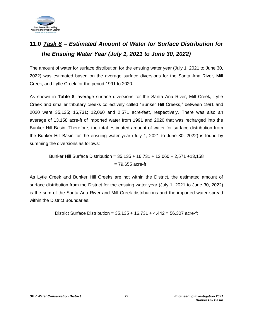

# <span id="page-26-0"></span>**11.0** *Task 8 – Estimated Amount of Water for Surface Distribution for the Ensuing Water Year (July 1, 2021 to June 30, 2022)*

The amount of water for surface distribution for the ensuing water year (July 1, 2021 to June 30, 2022) was estimated based on the average surface diversions for the Santa Ana River, Mill Creek, and Lytle Creek for the period 1991 to 2020.

As shown in **Table 8**, average surface diversions for the Santa Ana River, Mill Creek, Lytle Creek and smaller tributary creeks collectively called "Bunker Hill Creeks," between 1991 and 2020 were 35,135; 16,731; 12,060 and 2,571 acre-feet, respectively. There was also an average of 13,158 acre-ft of imported water from 1991 and 2020 that was recharged into the Bunker Hill Basin. Therefore, the total estimated amount of water for surface distribution from the Bunker Hill Basin for the ensuing water year (July 1, 2021 to June 30, 2022) is found by summing the diversions as follows:

Bunker Hill Surface Distribution = 35,135 + 16,731 + 12,060 + 2,571 +13,158  $= 79.655$  acre-ft

As Lytle Creek and Bunker Hill Creeks are not within the District, the estimated amount of surface distribution from the District for the ensuing water year (July 1, 2021 to June 30, 2022) is the sum of the Santa Ana River and Mill Creek distributions and the imported water spread within the District Boundaries.

District Surface Distribution =  $35,135 + 16,731 + 4,442 = 56,307$  acre-ft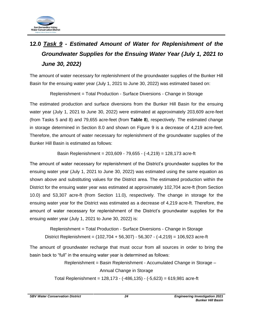

# <span id="page-27-0"></span>**12.0** *Task 9 - Estimated Amount of Water for Replenishment of the Groundwater Supplies for the Ensuing Water Year (July 1, 2021 to June 30, 2022)*

The amount of water necessary for replenishment of the groundwater supplies of the Bunker Hill Basin for the ensuing water year (July 1, 2021 to June 30, 2022) was estimated based on:

Replenishment = Total Production - Surface Diversions - Change in Storage

The estimated production and surface diversions from the Bunker Hill Basin for the ensuing water year (July 1, 2021 to June 30, 2022) were estimated at approximately 203,609 acre-feet (from Tasks 5 and 8) and 79,655 acre-feet (from **Table 8**), respectively. The estimated change in storage determined in Section 8.0 and shown on Figure 9 is a decrease of 4,219 acre-feet. Therefore, the amount of water necessary for replenishment of the groundwater supplies of the Bunker Hill Basin is estimated as follows:

Basin Replenishment = 203,609 - 79,655 - (-4,219) = 128,173 acre-ft

The amount of water necessary for replenishment of the District's groundwater supplies for the ensuing water year (July 1, 2021 to June 30, 2022) was estimated using the same equation as shown above and substituting values for the District area. The estimated production within the District for the ensuing water year was estimated at approximately 102,704 acre-ft (from Section 10.0) and 53,307 acre-ft (from Section 11.0), respectively. The change in storage for the ensuing water year for the District was estimated as a decrease of 4,219 acre-ft. Therefore, the amount of water necessary for replenishment of the District's groundwater supplies for the ensuing water year (July 1, 2021 to June 30, 2022) is:

Replenishment = Total Production - Surface Diversions - Change in Storage District Replenishment = (102,704 + 56,307) - 56,307 - (-4,219) = 106,923 acre-ft

The amount of groundwater recharge that must occur from all sources in order to bring the basin back to "full" in the ensuing water year is determined as follows:

> Replenishment = Basin Replenishment - Accumulated Change in Storage – Annual Change in Storage

Total Replenishment = 128,173 - (-486,135) - (-5,623) = 619,981 acre-ft

*SBV Water Conservation District 24 Engineering Investigation 2021*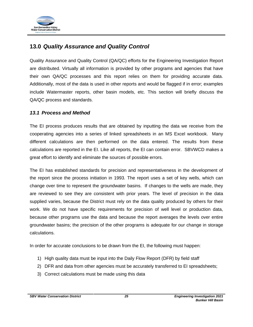

## <span id="page-28-0"></span>**13.0** *Quality Assurance and Quality Control*

Quality Assurance and Quality Control (QA/QC) efforts for the Engineering Investigation Report are distributed. Virtually all information is provided by other programs and agencies that have their own QA/QC processes and this report relies on them for providing accurate data. Additionally, most of the data is used in other reports and would be flagged if in error; examples include Watermaster reports, other basin models, etc. This section will briefly discuss the QA/QC process and standards.

## <span id="page-28-1"></span>*13.1 Process and Method*

The EI process produces results that are obtained by inputting the data we receive from the cooperating agencies into a series of linked spreadsheets in an MS Excel workbook. Many different calculations are then performed on the data entered. The results from these calculations are reported in the EI. Like all reports, the EI can contain error. SBVWCD makes a great effort to identify and eliminate the sources of possible errors.

The EI has established standards for precision and representativeness in the development of the report since the process initiation in 1993. The report uses a set of key wells, which can change over time to represent the groundwater basins. If changes to the wells are made, they are reviewed to see they are consistent with prior years. The level of precision in the data supplied varies, because the District must rely on the data quality produced by others for their work. We do not have specific requirements for precision of well level or production data, because other programs use the data and because the report averages the levels over entire groundwater basins; the precision of the other programs is adequate for our change in storage calculations.

In order for accurate conclusions to be drawn from the EI, the following must happen:

- 1) High quality data must be input into the Daily Flow Report (DFR) by field staff
- 2) DFR and data from other agencies must be accurately transferred to EI spreadsheets;
- 3) Correct calculations must be made using this data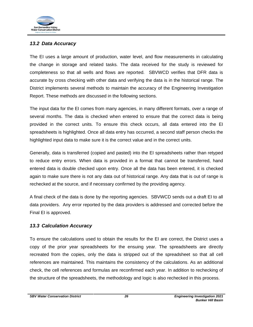

## <span id="page-29-0"></span>*13.2 Data Accuracy*

The EI uses a large amount of production, water level, and flow measurements in calculating the change in storage and related tasks. The data received for the study is reviewed for completeness so that all wells and flows are reported. SBVWCD verifies that DFR data is accurate by cross checking with other data and verifying the data is in the historical range. The District implements several methods to maintain the accuracy of the Engineering Investigation Report. These methods are discussed in the following sections.

The input data for the EI comes from many agencies, in many different formats, over a range of several months. The data is checked when entered to ensure that the correct data is being provided in the correct units. To ensure this check occurs, all data entered into the EI spreadsheets is highlighted. Once all data entry has occurred, a second staff person checks the highlighted input data to make sure it is the correct value and in the correct units.

Generally, data is transferred (copied and pasted) into the EI spreadsheets rather than retyped to reduce entry errors. When data is provided in a format that cannot be transferred, hand entered data is double checked upon entry. Once all the data has been entered, it is checked again to make sure there is not any data out of historical range. Any data that is out of range is rechecked at the source, and if necessary confirmed by the providing agency.

A final check of the data is done by the reporting agencies. SBVWCD sends out a draft EI to all data providers. Any error reported by the data providers is addressed and corrected before the Final EI is approved.

## <span id="page-29-1"></span>*13.3 Calculation Accuracy*

To ensure the calculations used to obtain the results for the EI are correct, the District uses a copy of the prior year spreadsheets for the ensuing year. The spreadsheets are directly recreated from the copies, only the data is stripped out of the spreadsheet so that all cell references are maintained. This maintains the consistency of the calculations. As an additional check, the cell references and formulas are reconfirmed each year. In addition to rechecking of the structure of the spreadsheets, the methodology and logic is also rechecked in this process.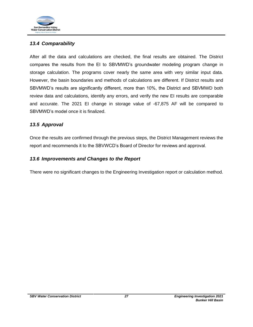

## <span id="page-30-0"></span>*13.4 Comparability*

After all the data and calculations are checked, the final results are obtained. The District compares the results from the EI to SBVMWD's groundwater modeling program change in storage calculation. The programs cover nearly the same area with very similar input data. However, the basin boundaries and methods of calculations are different. If District results and SBVMWD's results are significantly different, more than 10%, the District and SBVMWD both review data and calculations, identify any errors, and verify the new EI results are comparable and accurate. The 2021 EI change in storage value of -67,875 AF will be compared to SBVMWD's model once it is finalized.

## <span id="page-30-1"></span>*13.5 Approval*

Once the results are confirmed through the previous steps, the District Management reviews the report and recommends it to the SBVWCD's Board of Director for reviews and approval.

## <span id="page-30-2"></span>*13.6 Improvements and Changes to the Report*

There were no significant changes to the Engineering Investigation report or calculation method.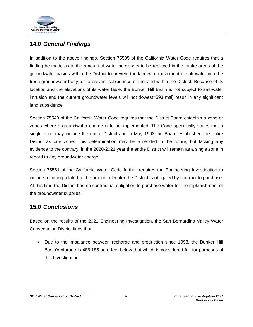

## <span id="page-31-0"></span>**14.0** *General Findings*

In addition to the above findings, Section 75505 of the California Water Code requires that a finding be made as to the amount of water necessary to be replaced in the intake areas of the groundwater basins within the District to prevent the landward movement of salt water into the fresh groundwater body, or to prevent subsidence of the land within the District. Because of its location and the elevations of its water table, the Bunker Hill Basin is not subject to salt-water intrusion and the current groundwater levels will not (lowest=593 msl) result in any significant land subsidence.

Section 75540 of the California Water Code requires that the District Board establish a zone or zones where a groundwater charge is to be implemented. The Code specifically states that a single zone may include the entire District and in May 1993 the Board established the entire District as one zone. This determination may be amended in the future, but lacking any evidence to the contrary, in the 2020-2021 year the entire District will remain as a single zone in regard to any groundwater charge.

Section 75561 of the California Water Code further requires the Engineering Investigation to include a finding related to the amount of water the District is obligated by contract to purchase. At this time the District has no contractual obligation to purchase water for the replenishment of the groundwater supplies.

## <span id="page-31-1"></span>**15.0** *Conclusions*

Based on the results of the 2021 Engineering Investigation, the San Bernardino Valley Water Conservation District finds that:

• Due to the imbalance between recharge and production since 1993, the Bunker Hill Basin's storage is 486,185 acre-feet below that which is considered full for purposes of this Investigation.